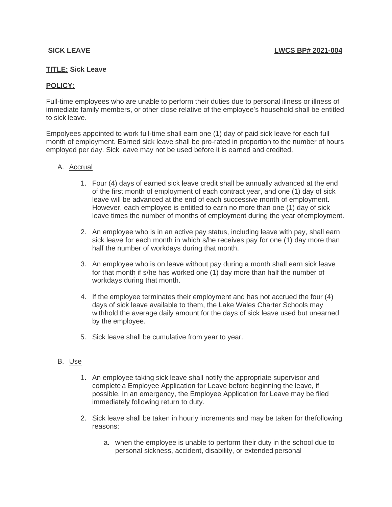## **TITLE: Sick Leave**

# **POLICY:**

Full-time employees who are unable to perform their duties due to personal illness or illness of immediate family members, or other close relative of the employee's household shall be entitled to sick leave.

Empolyees appointed to work full-time shall earn one (1) day of paid sick leave for each full month of employment. Earned sick leave shall be pro-rated in proportion to the number of hours employed per day. Sick leave may not be used before it is earned and credited.

## A. Accrual

- 1. Four (4) days of earned sick leave credit shall be annually advanced at the end of the first month of employment of each contract year, and one (1) day of sick leave will be advanced at the end of each successive month of employment. However, each employee is entitled to earn no more than one (1) day of sick leave times the number of months of employment during the year ofemployment.
- 2. An employee who is in an active pay status, including leave with pay, shall earn sick leave for each month in which s/he receives pay for one (1) day more than half the number of workdays during that month.
- 3. An employee who is on leave without pay during a month shall earn sick leave for that month if s/he has worked one (1) day more than half the number of workdays during that month.
- 4. If the employee terminates their employment and has not accrued the four (4) days of sick leave available to them, the Lake Wales Charter Schools may withhold the average daily amount for the days of sick leave used but unearned by the employee.
- 5. Sick leave shall be cumulative from year to year.

## B. Use

- 1. An employee taking sick leave shall notify the appropriate supervisor and complete a Employee Application for Leave before beginning the leave, if possible. In an emergency, the Employee Application for Leave may be filed immediately following return to duty.
- 2. Sick leave shall be taken in hourly increments and may be taken for thefollowing reasons:
	- a. when the employee is unable to perform their duty in the school due to personal sickness, accident, disability, or extended personal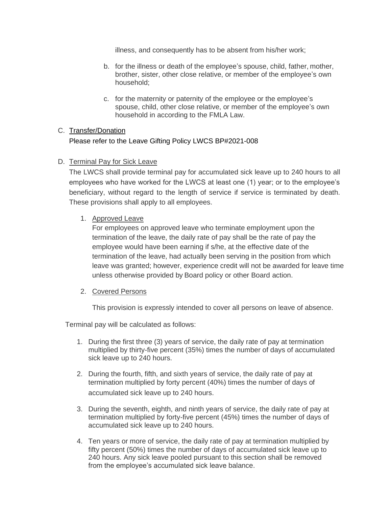illness, and consequently has to be absent from his/her work;

- b. for the illness or death of the employee's spouse, child, father, mother, brother, sister, other close relative, or member of the employee's own household;
- c. for the maternity or paternity of the employee or the employee's spouse, child, other close relative, or member of the employee's own household in according to the FMLA Law.

# C. Transfer/Donation

Please refer to the Leave Gifting Policy LWCS BP#2021-008

# D. Terminal Pay for Sick Leave

The LWCS shall provide terminal pay for accumulated sick leave up to 240 hours to all employees who have worked for the LWCS at least one (1) year; or to the employee's beneficiary, without regard to the length of service if service is terminated by death. These provisions shall apply to all employees.

# 1. Approved Leave

For employees on approved leave who terminate employment upon the termination of the leave, the daily rate of pay shall be the rate of pay the employee would have been earning if s/he, at the effective date of the termination of the leave, had actually been serving in the position from which leave was granted; however, experience credit will not be awarded for leave time unless otherwise provided by Board policy or other Board action.

## 2. Covered Persons

This provision is expressly intended to cover all persons on leave of absence.

Terminal pay will be calculated as follows:

- 1. During the first three (3) years of service, the daily rate of pay at termination multiplied by thirty-five percent (35%) times the number of days of accumulated sick leave up to 240 hours.
- 2. During the fourth, fifth, and sixth years of service, the daily rate of pay at termination multiplied by forty percent (40%) times the number of days of accumulated sick leave up to 240 hours.
- 3. During the seventh, eighth, and ninth years of service, the daily rate of pay at termination multiplied by forty-five percent (45%) times the number of days of accumulated sick leave up to 240 hours.
- 4. Ten years or more of service, the daily rate of pay at termination multiplied by fifty percent (50%) times the number of days of accumulated sick leave up to 240 hours. Any sick leave pooled pursuant to this section shall be removed from the employee's accumulated sick leave balance.